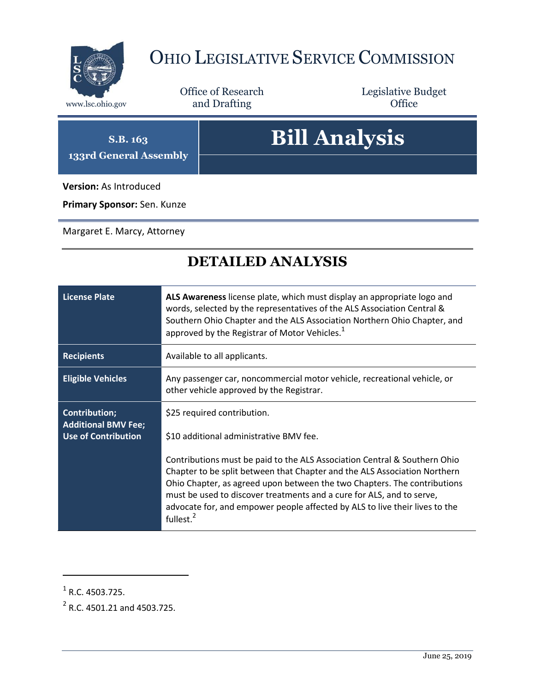

## OHIO LEGISLATIVE SERVICE COMMISSION

Office of Research www.lsc.ohio.gov and Drafting Control Control of Control Control Office

Legislative Budget

**S.B. 163 133rd General Assembly**

## **Bill Analysis**

**Version:** As Introduced

**Primary Sponsor:** Sen. Kunze

Margaret E. Marcy, Attorney

## **DETAILED ANALYSIS**

| <b>License Plate</b>                                                             | ALS Awareness license plate, which must display an appropriate logo and<br>words, selected by the representatives of the ALS Association Central &<br>Southern Ohio Chapter and the ALS Association Northern Ohio Chapter, and<br>approved by the Registrar of Motor Vehicles. <sup>1</sup>                                                                                                                                                                                                   |
|----------------------------------------------------------------------------------|-----------------------------------------------------------------------------------------------------------------------------------------------------------------------------------------------------------------------------------------------------------------------------------------------------------------------------------------------------------------------------------------------------------------------------------------------------------------------------------------------|
| <b>Recipients</b>                                                                | Available to all applicants.                                                                                                                                                                                                                                                                                                                                                                                                                                                                  |
| <b>Eligible Vehicles</b>                                                         | Any passenger car, noncommercial motor vehicle, recreational vehicle, or<br>other vehicle approved by the Registrar.                                                                                                                                                                                                                                                                                                                                                                          |
| <b>Contribution;</b><br><b>Additional BMV Fee;</b><br><b>Use of Contribution</b> | \$25 required contribution.<br>\$10 additional administrative BMV fee.<br>Contributions must be paid to the ALS Association Central & Southern Ohio<br>Chapter to be split between that Chapter and the ALS Association Northern<br>Ohio Chapter, as agreed upon between the two Chapters. The contributions<br>must be used to discover treatments and a cure for ALS, and to serve,<br>advocate for, and empower people affected by ALS to live their lives to the<br>fullest. <sup>2</sup> |

 $\overline{a}$ 

 $<sup>1</sup>$  R.C. 4503.725.</sup>

 $^{2}$  R.C. 4501.21 and 4503.725.